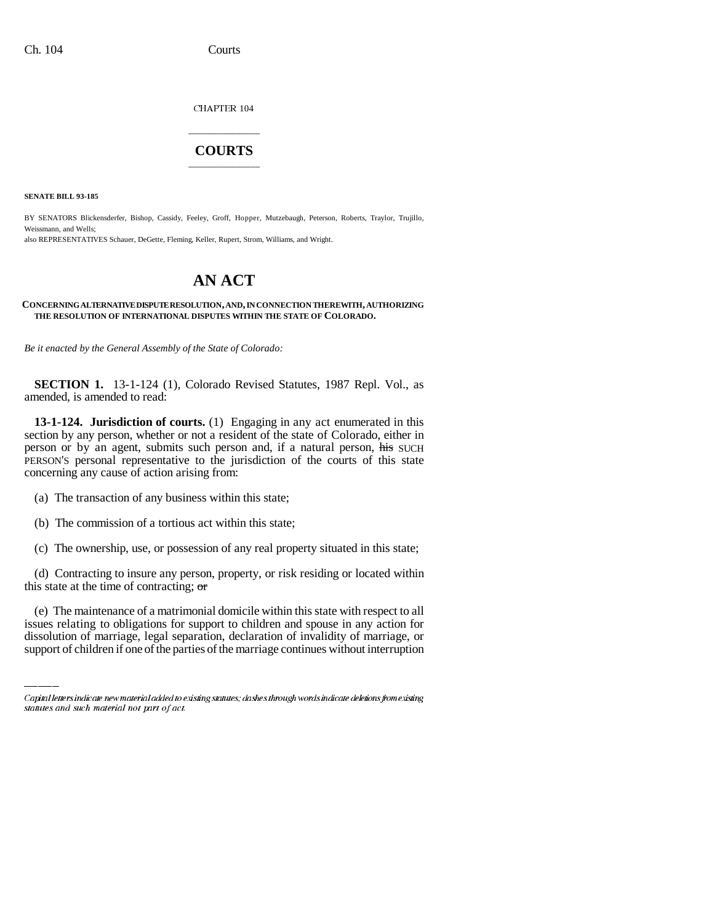CHAPTER 104

## \_\_\_\_\_\_\_\_\_\_\_\_\_\_\_ **COURTS** \_\_\_\_\_\_\_\_\_\_\_\_\_\_\_

**SENATE BILL 93-185**

BY SENATORS Blickensderfer, Bishop, Cassidy, Feeley, Groff, Hopper, Mutzebaugh, Peterson, Roberts, Traylor, Trujillo, Weissmann, and Wells; also REPRESENTATIVES Schauer, DeGette, Fleming, Keller, Rupert, Strom, Williams, and Wright.

# **AN ACT**

#### **CONCERNING ALTERNATIVE DISPUTE RESOLUTION, AND, IN CONNECTION THEREWITH, AUTHORIZING THE RESOLUTION OF INTERNATIONAL DISPUTES WITHIN THE STATE OF COLORADO.**

*Be it enacted by the General Assembly of the State of Colorado:*

**SECTION 1.** 13-1-124 (1), Colorado Revised Statutes, 1987 Repl. Vol., as amended, is amended to read:

**13-1-124. Jurisdiction of courts.** (1) Engaging in any act enumerated in this section by any person, whether or not a resident of the state of Colorado, either in person or by an agent, submits such person and, if a natural person, his SUCH PERSON'S personal representative to the jurisdiction of the courts of this state concerning any cause of action arising from:

- (a) The transaction of any business within this state;
- (b) The commission of a tortious act within this state;
- (c) The ownership, use, or possession of any real property situated in this state;

(d) Contracting to insure any person, property, or risk residing or located within this state at the time of contracting;  $\sigma$ 

(e) The maintenance of a matrimonial domicile within this state with respect to all issues relating to obligations for support to children and spouse in any action for dissolution of marriage, legal separation, declaration of invalidity of marriage, or support of children if one of the parties of the marriage continues without interruption

Capital letters indicate new material added to existing statutes; dashes through words indicate deletions from existing statutes and such material not part of act.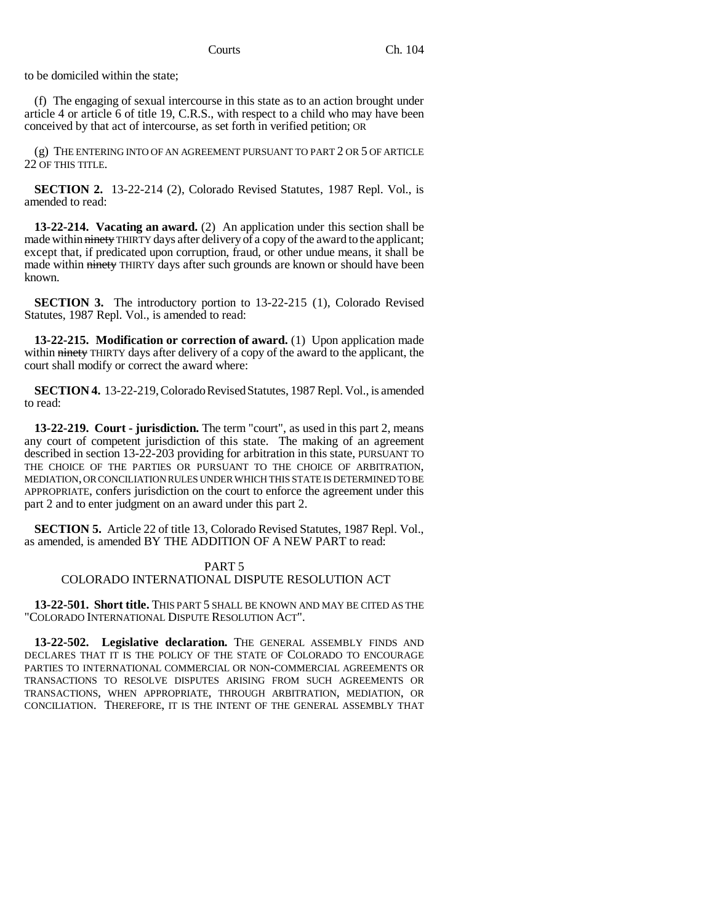to be domiciled within the state;

(f) The engaging of sexual intercourse in this state as to an action brought under article 4 or article 6 of title 19, C.R.S., with respect to a child who may have been conceived by that act of intercourse, as set forth in verified petition; OR

(g) THE ENTERING INTO OF AN AGREEMENT PURSUANT TO PART 2 OR 5 OF ARTICLE 22 OF THIS TITLE.

**SECTION 2.** 13-22-214 (2), Colorado Revised Statutes, 1987 Repl. Vol., is amended to read:

**13-22-214. Vacating an award.** (2) An application under this section shall be made within ninety THIRTY days after delivery of a copy of the award to the applicant; except that, if predicated upon corruption, fraud, or other undue means, it shall be made within ninety THIRTY days after such grounds are known or should have been known.

**SECTION 3.** The introductory portion to 13-22-215 (1), Colorado Revised Statutes, 1987 Repl. Vol., is amended to read:

**13-22-215. Modification or correction of award.** (1) Upon application made within ninety THIRTY days after delivery of a copy of the award to the applicant, the court shall modify or correct the award where:

**SECTION 4.** 13-22-219, Colorado Revised Statutes, 1987 Repl. Vol., is amended to read:

**13-22-219. Court - jurisdiction.** The term "court", as used in this part 2, means any court of competent jurisdiction of this state. The making of an agreement described in section 13-22-203 providing for arbitration in this state, PURSUANT TO THE CHOICE OF THE PARTIES OR PURSUANT TO THE CHOICE OF ARBITRATION, MEDIATION, OR CONCILIATION RULES UNDER WHICH THIS STATE IS DETERMINED TO BE APPROPRIATE, confers jurisdiction on the court to enforce the agreement under this part 2 and to enter judgment on an award under this part 2.

**SECTION 5.** Article 22 of title 13, Colorado Revised Statutes, 1987 Repl. Vol., as amended, is amended BY THE ADDITION OF A NEW PART to read:

### PART 5

## COLORADO INTERNATIONAL DISPUTE RESOLUTION ACT

**13-22-501. Short title.** THIS PART 5 SHALL BE KNOWN AND MAY BE CITED AS THE "COLORADO INTERNATIONAL DISPUTE RESOLUTION ACT".

**13-22-502. Legislative declaration.** THE GENERAL ASSEMBLY FINDS AND DECLARES THAT IT IS THE POLICY OF THE STATE OF COLORADO TO ENCOURAGE PARTIES TO INTERNATIONAL COMMERCIAL OR NON-COMMERCIAL AGREEMENTS OR TRANSACTIONS TO RESOLVE DISPUTES ARISING FROM SUCH AGREEMENTS OR TRANSACTIONS, WHEN APPROPRIATE, THROUGH ARBITRATION, MEDIATION, OR CONCILIATION. THEREFORE, IT IS THE INTENT OF THE GENERAL ASSEMBLY THAT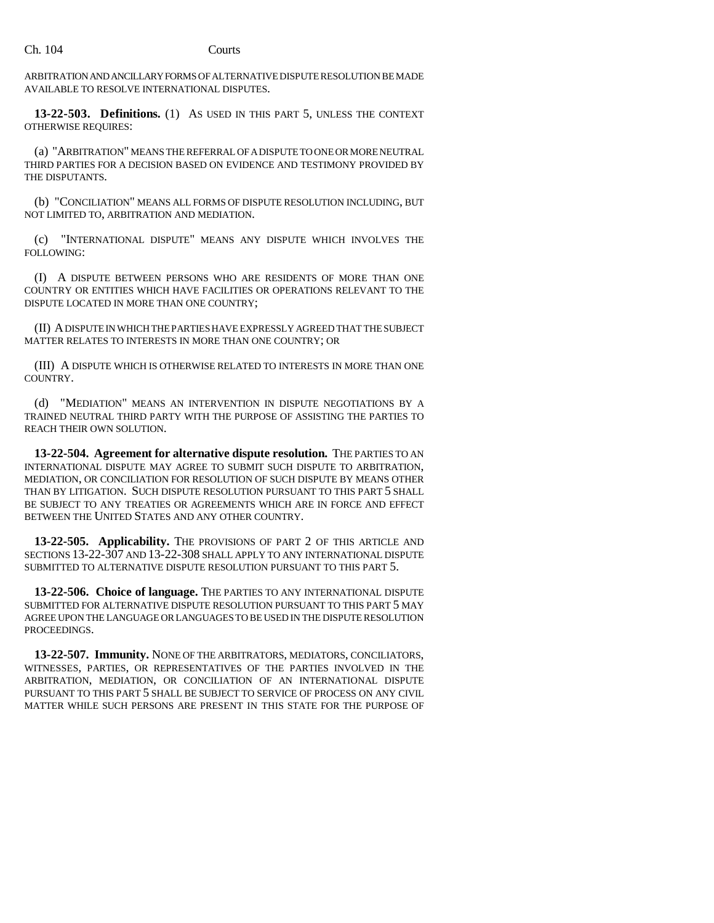ARBITRATION AND ANCILLARY FORMS OF ALTERNATIVE DISPUTE RESOLUTION BE MADE AVAILABLE TO RESOLVE INTERNATIONAL DISPUTES.

**13-22-503. Definitions.** (1) AS USED IN THIS PART 5, UNLESS THE CONTEXT OTHERWISE REQUIRES:

(a) "ARBITRATION" MEANS THE REFERRAL OF A DISPUTE TO ONE OR MORE NEUTRAL THIRD PARTIES FOR A DECISION BASED ON EVIDENCE AND TESTIMONY PROVIDED BY THE DISPUTANTS.

(b) "CONCILIATION" MEANS ALL FORMS OF DISPUTE RESOLUTION INCLUDING, BUT NOT LIMITED TO, ARBITRATION AND MEDIATION.

(c) "INTERNATIONAL DISPUTE" MEANS ANY DISPUTE WHICH INVOLVES THE FOLLOWING:

(I) A DISPUTE BETWEEN PERSONS WHO ARE RESIDENTS OF MORE THAN ONE COUNTRY OR ENTITIES WHICH HAVE FACILITIES OR OPERATIONS RELEVANT TO THE DISPUTE LOCATED IN MORE THAN ONE COUNTRY;

(II) A DISPUTE IN WHICH THE PARTIES HAVE EXPRESSLY AGREED THAT THE SUBJECT MATTER RELATES TO INTERESTS IN MORE THAN ONE COUNTRY; OR

(III) A DISPUTE WHICH IS OTHERWISE RELATED TO INTERESTS IN MORE THAN ONE COUNTRY.

(d) "MEDIATION" MEANS AN INTERVENTION IN DISPUTE NEGOTIATIONS BY A TRAINED NEUTRAL THIRD PARTY WITH THE PURPOSE OF ASSISTING THE PARTIES TO REACH THEIR OWN SOLUTION.

**13-22-504. Agreement for alternative dispute resolution.** THE PARTIES TO AN INTERNATIONAL DISPUTE MAY AGREE TO SUBMIT SUCH DISPUTE TO ARBITRATION, MEDIATION, OR CONCILIATION FOR RESOLUTION OF SUCH DISPUTE BY MEANS OTHER THAN BY LITIGATION. SUCH DISPUTE RESOLUTION PURSUANT TO THIS PART 5 SHALL BE SUBJECT TO ANY TREATIES OR AGREEMENTS WHICH ARE IN FORCE AND EFFECT BETWEEN THE UNITED STATES AND ANY OTHER COUNTRY.

**13-22-505. Applicability.** THE PROVISIONS OF PART 2 OF THIS ARTICLE AND SECTIONS 13-22-307 AND 13-22-308 SHALL APPLY TO ANY INTERNATIONAL DISPUTE SUBMITTED TO ALTERNATIVE DISPUTE RESOLUTION PURSUANT TO THIS PART 5.

**13-22-506. Choice of language.** THE PARTIES TO ANY INTERNATIONAL DISPUTE SUBMITTED FOR ALTERNATIVE DISPUTE RESOLUTION PURSUANT TO THIS PART 5 MAY AGREE UPON THE LANGUAGE OR LANGUAGES TO BE USED IN THE DISPUTE RESOLUTION PROCEEDINGS.

**13-22-507. Immunity.** NONE OF THE ARBITRATORS, MEDIATORS, CONCILIATORS, WITNESSES, PARTIES, OR REPRESENTATIVES OF THE PARTIES INVOLVED IN THE ARBITRATION, MEDIATION, OR CONCILIATION OF AN INTERNATIONAL DISPUTE PURSUANT TO THIS PART 5 SHALL BE SUBJECT TO SERVICE OF PROCESS ON ANY CIVIL MATTER WHILE SUCH PERSONS ARE PRESENT IN THIS STATE FOR THE PURPOSE OF